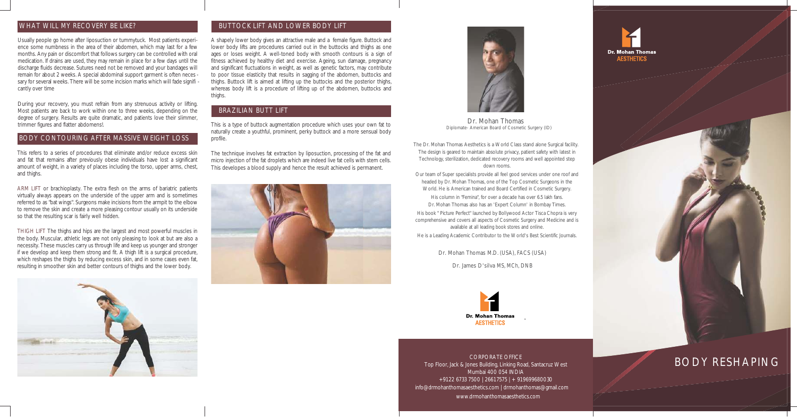Usually people go home after liposuction or tummytuck. Most patients experience some numbness in the area of their abdomen, which may last for a few months. Any pain or discomfort that follows surgery can be controlled with oral medication. If drains are used, they may remain in place for a few days until the discharge fluids decrease. Sutures need not be removed and your bandages will remain for about 2 weeks. A special abdominal support garment is often neces sary for several weeks. There will be some incision marks which will fade signifi cantly over time

During your recovery, you must refrain from any strenuous activity or lifting. Most patients are back to work within one to three weeks, depending on the degree of surgery. Results are quite dramatic, and patients love their slimmer, trimmer figures and flatter abdomens!.

### WHAT WILL MY RECOVERY BE LIKE?

This refers to a series of procedures that eliminate and/or reduce excess skin and fat that remains after previously obese individuals have lost a significant amount of weight, in a variety of places including the torso, upper arms, chest, and thighs.

A shapely lower body gives an attractive male and a female figure. Buttock and lower body lifts are procedures carried out in the buttocks and thighs as one ages or loses weight. A well-toned body with smooth contours is a sign of fitness achieved by healthy diet and exercise. Ageing, sun damage, pregnancy and significant fluctuations in weight, as well as genetic factors, may contribute to poor tissue elasticity that results in sagging of the abdomen, buttocks and thighs. Buttock lift is aimed at lifting up the buttocks and the posterior thighs, whereas body lift is a procedure of lifting up of the abdomen, buttocks and thighs.

ARM LIFT or brachioplasty. The extra flesh on the arms of bariatric patients virtually always appears on the underside of the upper arm and is sometimes referred to as "bat wings". Surgeons make incisions from the armpit to the elbow to remove the skin and create a more pleasing contour usually on its underside so that the resulting scar is fairly well hidden.

THIGH LIFT The thighs and hips are the largest and most powerful muscles in the body. Muscular, athletic legs are not only pleasing to look at but are also a necessity. These muscles carry us through life and keep us younger and stronger if we develop and keep them strong and fit. A thigh lift is a surgical procedure, which reshapes the thighs by reducing excess skin, and in some cases even fat, resulting in smoother skin and better contours of thighs and the lower body.



#### BODY CONTOURING AFTER MASSIVE WEIGHT LOSS

This is a type of buttock augmentation procedure which uses your own fat to naturally create a youthful, prominent, perky buttock and a more sensual body profile.

The technique involves fat extraction by liposuction, processing of the fat and micro injection of the fat droplets which are indeed live fat cells with stem cells. This developes a blood supply and hence the result achieved is permanent.



#### BUTTOCK LIFT AND LOWER BODY LIFT

#### BRAZILIAN BUTT LIFT

## BODY RESHAPING

CORPORATE OFFICE Top Floor, Jack & Jones Building, Linking Road, Santacruz West Mumbai 400 054 INDIA +91 22 6733 7500 | 2661 7575 | + 91 9699680030 info@drmohanthomasaesthetics.com | drmohanthomas@gmail.com www.drmohanthomasaesthetics.com





- The Dr. Mohan Thomas Aesthetics is a World Class stand alone Surgical facility. The design is geared to maintain absolute privacy, patient safety with latest in Technology, sterilization, dedicated recovery rooms and well appointed step down rooms.
- Our team of Super specialists provide all feel good services under one roof and headed by Dr. Mohan Thomas, one of the Top Cosmetic Surgeons in the World. He is American trained and Board Certified in Cosmetic Surgery.
	- His column in "Femina", for over a decade has over 6.5 lakh fans. Dr. Mohan Thomas also has an 'Expert Column' in Bombay Times.
- His book " Picture Perfect" launched by Bollywood Actor Tisca Chopra is very comprehensive and covers all aspects of Cosmetic Surgery and Medicine and is available at all leading book stores and online.
- He is a Leading Academic Contributor to the World's Best Scientific Journals.
	- Dr. Mohan Thomas M.D. (USA), FACS (USA)



Dr. Mohan Thomas Diplomate- American Board of Cosmetic Surgery (ID)

Dr. James D'silva MS, MCh, DNB